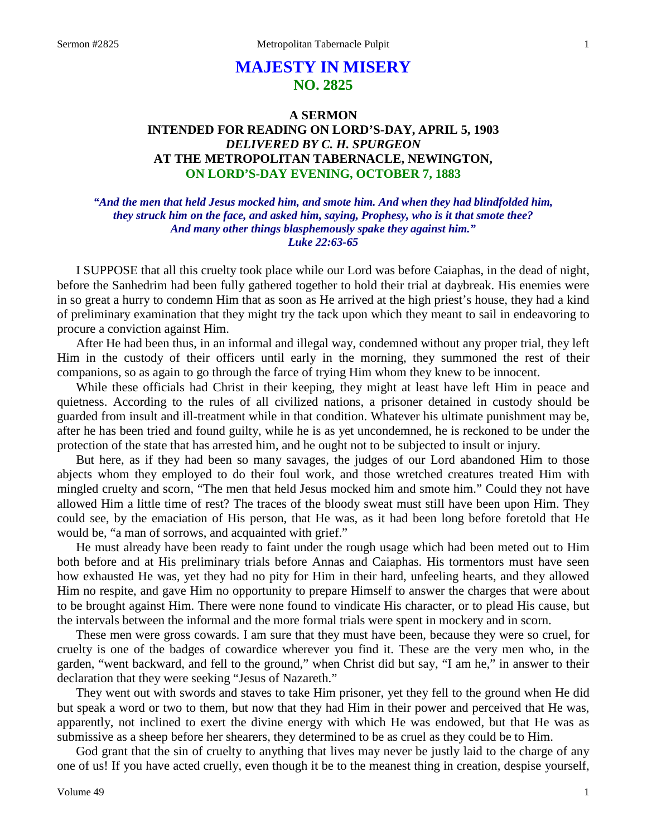# **MAJESTY IN MISERY NO. 2825**

# **A SERMON INTENDED FOR READING ON LORD'S-DAY, APRIL 5, 1903** *DELIVERED BY C. H. SPURGEON* **AT THE METROPOLITAN TABERNACLE, NEWINGTON, ON LORD'S-DAY EVENING, OCTOBER 7, 1883**

*"And the men that held Jesus mocked him, and smote him. And when they had blindfolded him, they struck him on the face, and asked him, saying, Prophesy, who is it that smote thee? And many other things blasphemously spake they against him." Luke 22:63-65*

I SUPPOSE that all this cruelty took place while our Lord was before Caiaphas, in the dead of night, before the Sanhedrim had been fully gathered together to hold their trial at daybreak. His enemies were in so great a hurry to condemn Him that as soon as He arrived at the high priest's house, they had a kind of preliminary examination that they might try the tack upon which they meant to sail in endeavoring to procure a conviction against Him.

After He had been thus, in an informal and illegal way, condemned without any proper trial, they left Him in the custody of their officers until early in the morning, they summoned the rest of their companions, so as again to go through the farce of trying Him whom they knew to be innocent.

While these officials had Christ in their keeping, they might at least have left Him in peace and quietness. According to the rules of all civilized nations, a prisoner detained in custody should be guarded from insult and ill-treatment while in that condition. Whatever his ultimate punishment may be, after he has been tried and found guilty, while he is as yet uncondemned, he is reckoned to be under the protection of the state that has arrested him, and he ought not to be subjected to insult or injury.

But here, as if they had been so many savages, the judges of our Lord abandoned Him to those abjects whom they employed to do their foul work, and those wretched creatures treated Him with mingled cruelty and scorn, "The men that held Jesus mocked him and smote him." Could they not have allowed Him a little time of rest? The traces of the bloody sweat must still have been upon Him. They could see, by the emaciation of His person, that He was, as it had been long before foretold that He would be, "a man of sorrows, and acquainted with grief."

He must already have been ready to faint under the rough usage which had been meted out to Him both before and at His preliminary trials before Annas and Caiaphas. His tormentors must have seen how exhausted He was, yet they had no pity for Him in their hard, unfeeling hearts, and they allowed Him no respite, and gave Him no opportunity to prepare Himself to answer the charges that were about to be brought against Him. There were none found to vindicate His character, or to plead His cause, but the intervals between the informal and the more formal trials were spent in mockery and in scorn.

These men were gross cowards. I am sure that they must have been, because they were so cruel, for cruelty is one of the badges of cowardice wherever you find it. These are the very men who, in the garden, "went backward, and fell to the ground," when Christ did but say, "I am he," in answer to their declaration that they were seeking "Jesus of Nazareth."

They went out with swords and staves to take Him prisoner, yet they fell to the ground when He did but speak a word or two to them, but now that they had Him in their power and perceived that He was, apparently, not inclined to exert the divine energy with which He was endowed, but that He was as submissive as a sheep before her shearers, they determined to be as cruel as they could be to Him.

God grant that the sin of cruelty to anything that lives may never be justly laid to the charge of any one of us! If you have acted cruelly, even though it be to the meanest thing in creation, despise yourself,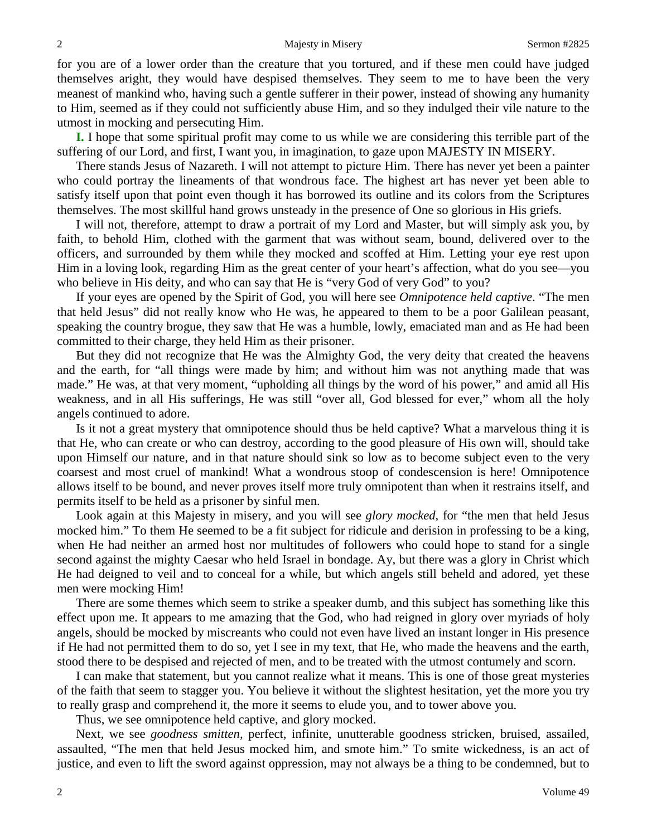for you are of a lower order than the creature that you tortured, and if these men could have judged themselves aright, they would have despised themselves. They seem to me to have been the very meanest of mankind who, having such a gentle sufferer in their power, instead of showing any humanity to Him, seemed as if they could not sufficiently abuse Him, and so they indulged their vile nature to the utmost in mocking and persecuting Him.

**I.** I hope that some spiritual profit may come to us while we are considering this terrible part of the suffering of our Lord, and first, I want you, in imagination, to gaze upon MAJESTY IN MISERY.

There stands Jesus of Nazareth. I will not attempt to picture Him. There has never yet been a painter who could portray the lineaments of that wondrous face. The highest art has never yet been able to satisfy itself upon that point even though it has borrowed its outline and its colors from the Scriptures themselves. The most skillful hand grows unsteady in the presence of One so glorious in His griefs.

I will not, therefore, attempt to draw a portrait of my Lord and Master, but will simply ask you, by faith, to behold Him, clothed with the garment that was without seam, bound, delivered over to the officers, and surrounded by them while they mocked and scoffed at Him. Letting your eye rest upon Him in a loving look, regarding Him as the great center of your heart's affection, what do you see—you who believe in His deity, and who can say that He is "very God of very God" to you?

If your eyes are opened by the Spirit of God, you will here see *Omnipotence held captive*. "The men that held Jesus" did not really know who He was, he appeared to them to be a poor Galilean peasant, speaking the country brogue, they saw that He was a humble, lowly, emaciated man and as He had been committed to their charge, they held Him as their prisoner.

But they did not recognize that He was the Almighty God, the very deity that created the heavens and the earth, for "all things were made by him; and without him was not anything made that was made." He was, at that very moment, "upholding all things by the word of his power," and amid all His weakness, and in all His sufferings, He was still "over all, God blessed for ever," whom all the holy angels continued to adore.

Is it not a great mystery that omnipotence should thus be held captive? What a marvelous thing it is that He, who can create or who can destroy, according to the good pleasure of His own will, should take upon Himself our nature, and in that nature should sink so low as to become subject even to the very coarsest and most cruel of mankind! What a wondrous stoop of condescension is here! Omnipotence allows itself to be bound, and never proves itself more truly omnipotent than when it restrains itself, and permits itself to be held as a prisoner by sinful men.

Look again at this Majesty in misery, and you will see *glory mocked,* for "the men that held Jesus mocked him." To them He seemed to be a fit subject for ridicule and derision in professing to be a king, when He had neither an armed host nor multitudes of followers who could hope to stand for a single second against the mighty Caesar who held Israel in bondage. Ay, but there was a glory in Christ which He had deigned to veil and to conceal for a while, but which angels still beheld and adored, yet these men were mocking Him!

There are some themes which seem to strike a speaker dumb, and this subject has something like this effect upon me. It appears to me amazing that the God, who had reigned in glory over myriads of holy angels, should be mocked by miscreants who could not even have lived an instant longer in His presence if He had not permitted them to do so, yet I see in my text, that He, who made the heavens and the earth, stood there to be despised and rejected of men, and to be treated with the utmost contumely and scorn.

I can make that statement, but you cannot realize what it means. This is one of those great mysteries of the faith that seem to stagger you. You believe it without the slightest hesitation, yet the more you try to really grasp and comprehend it, the more it seems to elude you, and to tower above you.

Thus, we see omnipotence held captive, and glory mocked.

Next, we see *goodness smitten,* perfect, infinite, unutterable goodness stricken, bruised, assailed, assaulted, "The men that held Jesus mocked him, and smote him." To smite wickedness, is an act of justice, and even to lift the sword against oppression, may not always be a thing to be condemned, but to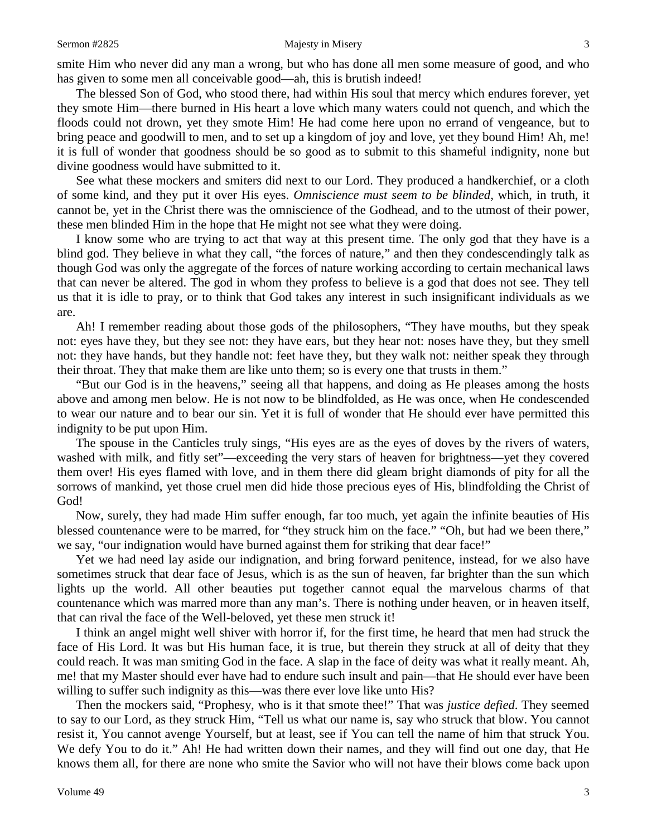smite Him who never did any man a wrong, but who has done all men some measure of good, and who has given to some men all conceivable good—ah, this is brutish indeed!

The blessed Son of God, who stood there, had within His soul that mercy which endures forever, yet they smote Him—there burned in His heart a love which many waters could not quench, and which the floods could not drown, yet they smote Him! He had come here upon no errand of vengeance, but to bring peace and goodwill to men, and to set up a kingdom of joy and love, yet they bound Him! Ah, me! it is full of wonder that goodness should be so good as to submit to this shameful indignity, none but divine goodness would have submitted to it.

See what these mockers and smiters did next to our Lord. They produced a handkerchief, or a cloth of some kind, and they put it over His eyes. *Omniscience must seem to be blinded,* which, in truth, it cannot be, yet in the Christ there was the omniscience of the Godhead, and to the utmost of their power, these men blinded Him in the hope that He might not see what they were doing.

I know some who are trying to act that way at this present time. The only god that they have is a blind god. They believe in what they call, "the forces of nature," and then they condescendingly talk as though God was only the aggregate of the forces of nature working according to certain mechanical laws that can never be altered. The god in whom they profess to believe is a god that does not see. They tell us that it is idle to pray, or to think that God takes any interest in such insignificant individuals as we are.

Ah! I remember reading about those gods of the philosophers, "They have mouths, but they speak not: eyes have they, but they see not: they have ears, but they hear not: noses have they, but they smell not: they have hands, but they handle not: feet have they, but they walk not: neither speak they through their throat. They that make them are like unto them; so is every one that trusts in them."

"But our God is in the heavens," seeing all that happens, and doing as He pleases among the hosts above and among men below. He is not now to be blindfolded, as He was once, when He condescended to wear our nature and to bear our sin. Yet it is full of wonder that He should ever have permitted this indignity to be put upon Him.

The spouse in the Canticles truly sings, "His eyes are as the eyes of doves by the rivers of waters, washed with milk, and fitly set"—exceeding the very stars of heaven for brightness—yet they covered them over! His eyes flamed with love, and in them there did gleam bright diamonds of pity for all the sorrows of mankind, yet those cruel men did hide those precious eyes of His, blindfolding the Christ of God!

Now, surely, they had made Him suffer enough, far too much, yet again the infinite beauties of His blessed countenance were to be marred, for "they struck him on the face." "Oh, but had we been there," we say, "our indignation would have burned against them for striking that dear face!"

Yet we had need lay aside our indignation, and bring forward penitence, instead, for we also have sometimes struck that dear face of Jesus, which is as the sun of heaven, far brighter than the sun which lights up the world. All other beauties put together cannot equal the marvelous charms of that countenance which was marred more than any man's. There is nothing under heaven, or in heaven itself, that can rival the face of the Well-beloved, yet these men struck it!

I think an angel might well shiver with horror if, for the first time, he heard that men had struck the face of His Lord. It was but His human face, it is true, but therein they struck at all of deity that they could reach. It was man smiting God in the face. A slap in the face of deity was what it really meant. Ah, me! that my Master should ever have had to endure such insult and pain—that He should ever have been willing to suffer such indignity as this—was there ever love like unto His?

Then the mockers said, "Prophesy, who is it that smote thee!" That was *justice defied*. They seemed to say to our Lord, as they struck Him, "Tell us what our name is, say who struck that blow. You cannot resist it, You cannot avenge Yourself, but at least, see if You can tell the name of him that struck You. We defy You to do it." Ah! He had written down their names, and they will find out one day, that He knows them all, for there are none who smite the Savior who will not have their blows come back upon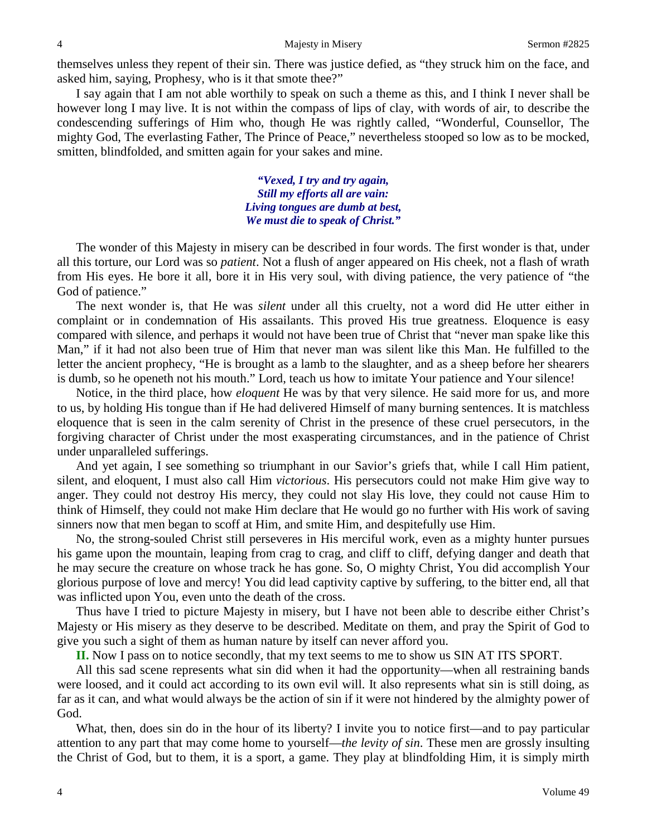themselves unless they repent of their sin. There was justice defied, as "they struck him on the face, and asked him, saying, Prophesy, who is it that smote thee?"

I say again that I am not able worthily to speak on such a theme as this, and I think I never shall be however long I may live. It is not within the compass of lips of clay, with words of air, to describe the condescending sufferings of Him who, though He was rightly called, "Wonderful, Counsellor, The mighty God, The everlasting Father, The Prince of Peace," nevertheless stooped so low as to be mocked, smitten, blindfolded, and smitten again for your sakes and mine.

> *"Vexed, I try and try again, Still my efforts all are vain: Living tongues are dumb at best, We must die to speak of Christ."*

The wonder of this Majesty in misery can be described in four words. The first wonder is that, under all this torture, our Lord was so *patient*. Not a flush of anger appeared on His cheek, not a flash of wrath from His eyes. He bore it all, bore it in His very soul, with diving patience, the very patience of "the God of patience."

The next wonder is, that He was *silent* under all this cruelty, not a word did He utter either in complaint or in condemnation of His assailants. This proved His true greatness. Eloquence is easy compared with silence, and perhaps it would not have been true of Christ that "never man spake like this Man," if it had not also been true of Him that never man was silent like this Man. He fulfilled to the letter the ancient prophecy, "He is brought as a lamb to the slaughter, and as a sheep before her shearers is dumb, so he openeth not his mouth." Lord, teach us how to imitate Your patience and Your silence!

Notice, in the third place, how *eloquent* He was by that very silence. He said more for us, and more to us, by holding His tongue than if He had delivered Himself of many burning sentences. It is matchless eloquence that is seen in the calm serenity of Christ in the presence of these cruel persecutors, in the forgiving character of Christ under the most exasperating circumstances, and in the patience of Christ under unparalleled sufferings.

And yet again, I see something so triumphant in our Savior's griefs that, while I call Him patient, silent, and eloquent, I must also call Him *victorious*. His persecutors could not make Him give way to anger. They could not destroy His mercy, they could not slay His love, they could not cause Him to think of Himself, they could not make Him declare that He would go no further with His work of saving sinners now that men began to scoff at Him, and smite Him, and despitefully use Him.

No, the strong-souled Christ still perseveres in His merciful work, even as a mighty hunter pursues his game upon the mountain, leaping from crag to crag, and cliff to cliff, defying danger and death that he may secure the creature on whose track he has gone. So, O mighty Christ, You did accomplish Your glorious purpose of love and mercy! You did lead captivity captive by suffering, to the bitter end, all that was inflicted upon You, even unto the death of the cross.

Thus have I tried to picture Majesty in misery, but I have not been able to describe either Christ's Majesty or His misery as they deserve to be described. Meditate on them, and pray the Spirit of God to give you such a sight of them as human nature by itself can never afford you.

**II.** Now I pass on to notice secondly, that my text seems to me to show us SIN AT ITS SPORT.

All this sad scene represents what sin did when it had the opportunity—when all restraining bands were loosed, and it could act according to its own evil will. It also represents what sin is still doing, as far as it can, and what would always be the action of sin if it were not hindered by the almighty power of God.

What, then, does sin do in the hour of its liberty? I invite you to notice first—and to pay particular attention to any part that may come home to yourself—*the levity of sin*. These men are grossly insulting the Christ of God, but to them, it is a sport, a game. They play at blindfolding Him, it is simply mirth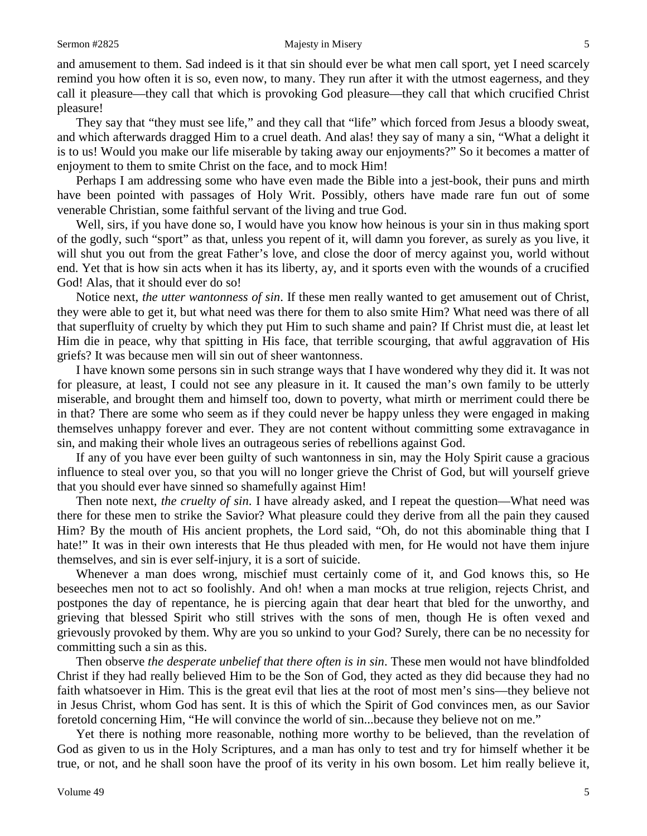and amusement to them. Sad indeed is it that sin should ever be what men call sport, yet I need scarcely remind you how often it is so, even now, to many. They run after it with the utmost eagerness, and they call it pleasure—they call that which is provoking God pleasure—they call that which crucified Christ pleasure!

They say that "they must see life," and they call that "life" which forced from Jesus a bloody sweat, and which afterwards dragged Him to a cruel death. And alas! they say of many a sin, "What a delight it is to us! Would you make our life miserable by taking away our enjoyments?" So it becomes a matter of enjoyment to them to smite Christ on the face, and to mock Him!

Perhaps I am addressing some who have even made the Bible into a jest-book, their puns and mirth have been pointed with passages of Holy Writ. Possibly, others have made rare fun out of some venerable Christian, some faithful servant of the living and true God.

Well, sirs, if you have done so, I would have you know how heinous is your sin in thus making sport of the godly, such "sport" as that, unless you repent of it, will damn you forever, as surely as you live, it will shut you out from the great Father's love, and close the door of mercy against you, world without end. Yet that is how sin acts when it has its liberty, ay, and it sports even with the wounds of a crucified God! Alas, that it should ever do so!

Notice next, *the utter wantonness of sin*. If these men really wanted to get amusement out of Christ, they were able to get it, but what need was there for them to also smite Him? What need was there of all that superfluity of cruelty by which they put Him to such shame and pain? If Christ must die, at least let Him die in peace, why that spitting in His face, that terrible scourging, that awful aggravation of His griefs? It was because men will sin out of sheer wantonness.

I have known some persons sin in such strange ways that I have wondered why they did it. It was not for pleasure, at least, I could not see any pleasure in it. It caused the man's own family to be utterly miserable, and brought them and himself too, down to poverty, what mirth or merriment could there be in that? There are some who seem as if they could never be happy unless they were engaged in making themselves unhappy forever and ever. They are not content without committing some extravagance in sin, and making their whole lives an outrageous series of rebellions against God.

If any of you have ever been guilty of such wantonness in sin, may the Holy Spirit cause a gracious influence to steal over you, so that you will no longer grieve the Christ of God, but will yourself grieve that you should ever have sinned so shamefully against Him!

Then note next, *the cruelty of sin*. I have already asked, and I repeat the question—What need was there for these men to strike the Savior? What pleasure could they derive from all the pain they caused Him? By the mouth of His ancient prophets, the Lord said, "Oh, do not this abominable thing that I hate!" It was in their own interests that He thus pleaded with men, for He would not have them injure themselves, and sin is ever self-injury, it is a sort of suicide.

Whenever a man does wrong, mischief must certainly come of it, and God knows this, so He beseeches men not to act so foolishly. And oh! when a man mocks at true religion, rejects Christ, and postpones the day of repentance, he is piercing again that dear heart that bled for the unworthy, and grieving that blessed Spirit who still strives with the sons of men, though He is often vexed and grievously provoked by them. Why are you so unkind to your God? Surely, there can be no necessity for committing such a sin as this.

Then observe *the desperate unbelief that there often is in sin*. These men would not have blindfolded Christ if they had really believed Him to be the Son of God, they acted as they did because they had no faith whatsoever in Him. This is the great evil that lies at the root of most men's sins—they believe not in Jesus Christ, whom God has sent. It is this of which the Spirit of God convinces men, as our Savior foretold concerning Him, "He will convince the world of sin...because they believe not on me."

Yet there is nothing more reasonable, nothing more worthy to be believed, than the revelation of God as given to us in the Holy Scriptures, and a man has only to test and try for himself whether it be true, or not, and he shall soon have the proof of its verity in his own bosom. Let him really believe it,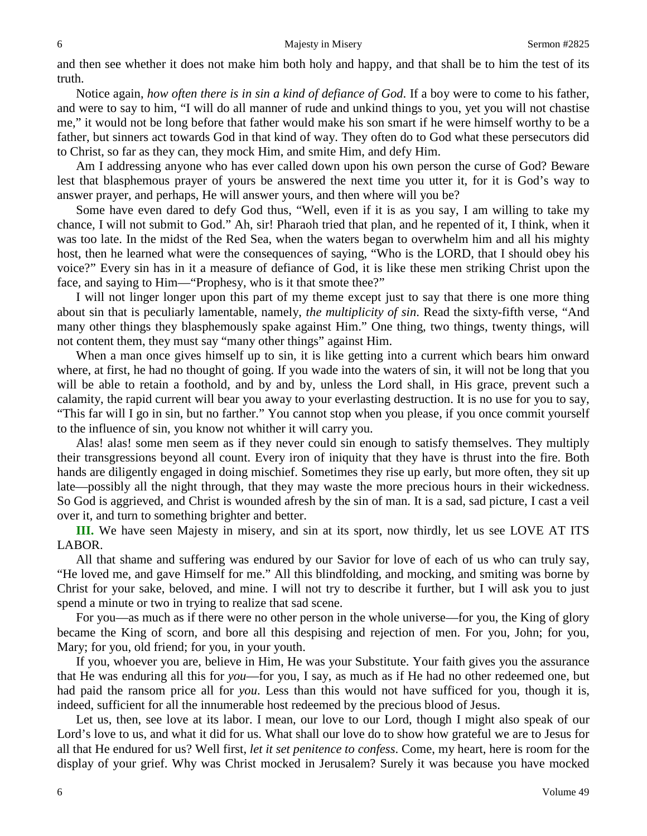and then see whether it does not make him both holy and happy, and that shall be to him the test of its truth.

Notice again, *how often there is in sin a kind of defiance of God*. If a boy were to come to his father, and were to say to him, "I will do all manner of rude and unkind things to you, yet you will not chastise me," it would not be long before that father would make his son smart if he were himself worthy to be a father, but sinners act towards God in that kind of way. They often do to God what these persecutors did to Christ, so far as they can, they mock Him, and smite Him, and defy Him.

Am I addressing anyone who has ever called down upon his own person the curse of God? Beware lest that blasphemous prayer of yours be answered the next time you utter it, for it is God's way to answer prayer, and perhaps, He will answer yours, and then where will you be?

Some have even dared to defy God thus, "Well, even if it is as you say, I am willing to take my chance, I will not submit to God." Ah, sir! Pharaoh tried that plan, and he repented of it, I think, when it was too late. In the midst of the Red Sea, when the waters began to overwhelm him and all his mighty host, then he learned what were the consequences of saying, "Who is the LORD, that I should obey his voice?" Every sin has in it a measure of defiance of God, it is like these men striking Christ upon the face, and saying to Him—"Prophesy, who is it that smote thee?"

I will not linger longer upon this part of my theme except just to say that there is one more thing about sin that is peculiarly lamentable, namely, *the multiplicity of sin*. Read the sixty-fifth verse, "And many other things they blasphemously spake against Him." One thing, two things, twenty things, will not content them, they must say "many other things" against Him.

When a man once gives himself up to sin, it is like getting into a current which bears him onward where, at first, he had no thought of going. If you wade into the waters of sin, it will not be long that you will be able to retain a foothold, and by and by, unless the Lord shall, in His grace, prevent such a calamity, the rapid current will bear you away to your everlasting destruction. It is no use for you to say, "This far will I go in sin, but no farther." You cannot stop when you please, if you once commit yourself to the influence of sin, you know not whither it will carry you.

Alas! alas! some men seem as if they never could sin enough to satisfy themselves. They multiply their transgressions beyond all count. Every iron of iniquity that they have is thrust into the fire. Both hands are diligently engaged in doing mischief. Sometimes they rise up early, but more often, they sit up late—possibly all the night through, that they may waste the more precious hours in their wickedness. So God is aggrieved, and Christ is wounded afresh by the sin of man. It is a sad, sad picture, I cast a veil over it, and turn to something brighter and better.

**III.** We have seen Majesty in misery, and sin at its sport, now thirdly, let us see LOVE AT ITS LABOR.

All that shame and suffering was endured by our Savior for love of each of us who can truly say, "He loved me, and gave Himself for me." All this blindfolding, and mocking, and smiting was borne by Christ for your sake, beloved, and mine. I will not try to describe it further, but I will ask you to just spend a minute or two in trying to realize that sad scene.

For you—as much as if there were no other person in the whole universe—for you, the King of glory became the King of scorn, and bore all this despising and rejection of men. For you, John; for you, Mary; for you, old friend; for you, in your youth.

If you, whoever you are, believe in Him, He was your Substitute. Your faith gives you the assurance that He was enduring all this for *you*—for you, I say, as much as if He had no other redeemed one, but had paid the ransom price all for *you*. Less than this would not have sufficed for you, though it is, indeed, sufficient for all the innumerable host redeemed by the precious blood of Jesus.

Let us, then, see love at its labor. I mean, our love to our Lord, though I might also speak of our Lord's love to us, and what it did for us. What shall our love do to show how grateful we are to Jesus for all that He endured for us? Well first, *let it set penitence to confess*. Come, my heart, here is room for the display of your grief. Why was Christ mocked in Jerusalem? Surely it was because you have mocked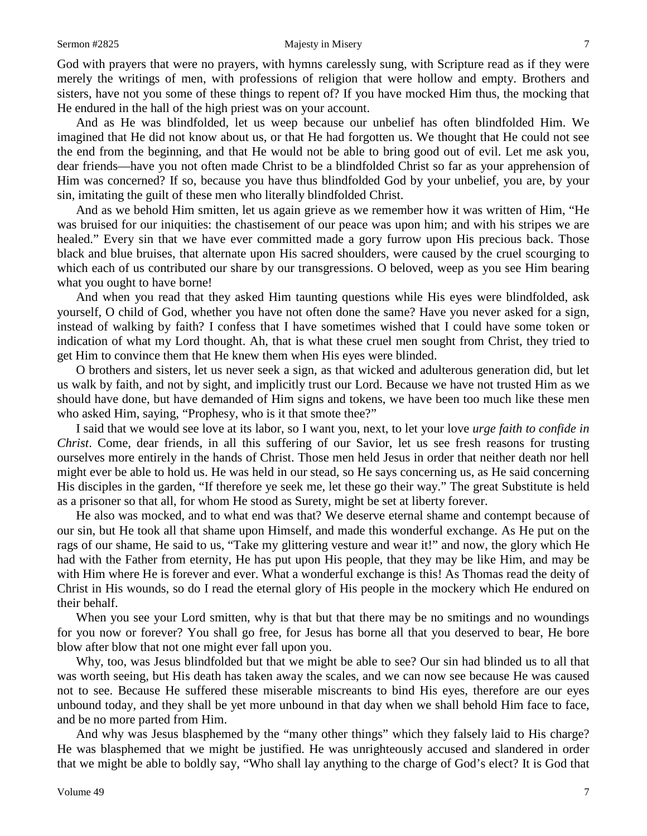### Sermon #2825 Majesty in Misery 7

God with prayers that were no prayers, with hymns carelessly sung, with Scripture read as if they were merely the writings of men, with professions of religion that were hollow and empty. Brothers and sisters, have not you some of these things to repent of? If you have mocked Him thus, the mocking that He endured in the hall of the high priest was on your account.

And as He was blindfolded, let us weep because our unbelief has often blindfolded Him. We imagined that He did not know about us, or that He had forgotten us. We thought that He could not see the end from the beginning, and that He would not be able to bring good out of evil. Let me ask you, dear friends—have you not often made Christ to be a blindfolded Christ so far as your apprehension of Him was concerned? If so, because you have thus blindfolded God by your unbelief, you are, by your sin, imitating the guilt of these men who literally blindfolded Christ.

And as we behold Him smitten, let us again grieve as we remember how it was written of Him, "He was bruised for our iniquities: the chastisement of our peace was upon him; and with his stripes we are healed." Every sin that we have ever committed made a gory furrow upon His precious back. Those black and blue bruises, that alternate upon His sacred shoulders, were caused by the cruel scourging to which each of us contributed our share by our transgressions. O beloved, weep as you see Him bearing what you ought to have borne!

And when you read that they asked Him taunting questions while His eyes were blindfolded, ask yourself, O child of God, whether you have not often done the same? Have you never asked for a sign, instead of walking by faith? I confess that I have sometimes wished that I could have some token or indication of what my Lord thought. Ah, that is what these cruel men sought from Christ, they tried to get Him to convince them that He knew them when His eyes were blinded.

O brothers and sisters, let us never seek a sign, as that wicked and adulterous generation did, but let us walk by faith, and not by sight, and implicitly trust our Lord. Because we have not trusted Him as we should have done, but have demanded of Him signs and tokens, we have been too much like these men who asked Him, saying, "Prophesy, who is it that smote thee?"

I said that we would see love at its labor, so I want you, next, to let your love *urge faith to confide in Christ*. Come, dear friends, in all this suffering of our Savior, let us see fresh reasons for trusting ourselves more entirely in the hands of Christ. Those men held Jesus in order that neither death nor hell might ever be able to hold us. He was held in our stead, so He says concerning us, as He said concerning His disciples in the garden, "If therefore ye seek me, let these go their way." The great Substitute is held as a prisoner so that all, for whom He stood as Surety, might be set at liberty forever.

He also was mocked, and to what end was that? We deserve eternal shame and contempt because of our sin, but He took all that shame upon Himself, and made this wonderful exchange. As He put on the rags of our shame, He said to us, "Take my glittering vesture and wear it!" and now, the glory which He had with the Father from eternity, He has put upon His people, that they may be like Him, and may be with Him where He is forever and ever. What a wonderful exchange is this! As Thomas read the deity of Christ in His wounds, so do I read the eternal glory of His people in the mockery which He endured on their behalf.

When you see your Lord smitten, why is that but that there may be no smitings and no woundings for you now or forever? You shall go free, for Jesus has borne all that you deserved to bear, He bore blow after blow that not one might ever fall upon you.

Why, too, was Jesus blindfolded but that we might be able to see? Our sin had blinded us to all that was worth seeing, but His death has taken away the scales, and we can now see because He was caused not to see. Because He suffered these miserable miscreants to bind His eyes, therefore are our eyes unbound today, and they shall be yet more unbound in that day when we shall behold Him face to face, and be no more parted from Him.

And why was Jesus blasphemed by the "many other things" which they falsely laid to His charge? He was blasphemed that we might be justified. He was unrighteously accused and slandered in order that we might be able to boldly say, "Who shall lay anything to the charge of God's elect? It is God that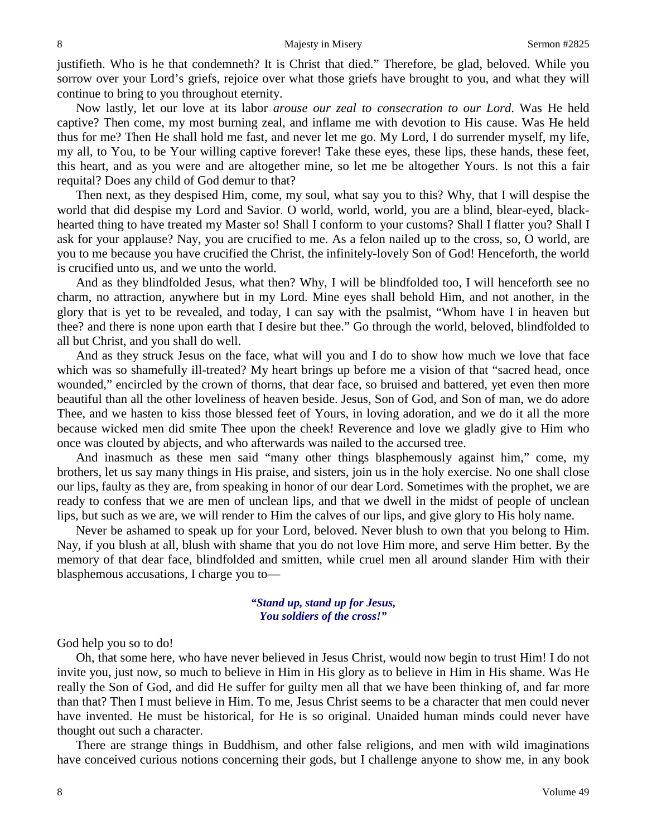justifieth. Who is he that condemneth? It is Christ that died." Therefore, be glad, beloved. While you sorrow over your Lord's griefs, rejoice over what those griefs have brought to you, and what they will continue to bring to you throughout eternity.

Now lastly, let our love at its labor *arouse our zeal to consecration to our Lord*. Was He held captive? Then come, my most burning zeal, and inflame me with devotion to His cause. Was He held thus for me? Then He shall hold me fast, and never let me go. My Lord, I do surrender myself, my life, my all, to You, to be Your willing captive forever! Take these eyes, these lips, these hands, these feet, this heart, and as you were and are altogether mine, so let me be altogether Yours. Is not this a fair requital? Does any child of God demur to that?

Then next, as they despised Him, come, my soul, what say you to this? Why, that I will despise the world that did despise my Lord and Savior. O world, world, world, you are a blind, blear-eyed, blackhearted thing to have treated my Master so! Shall I conform to your customs? Shall I flatter you? Shall I ask for your applause? Nay, you are crucified to me. As a felon nailed up to the cross, so, O world, are you to me because you have crucified the Christ, the infinitely-lovely Son of God! Henceforth, the world is crucified unto us, and we unto the world.

And as they blindfolded Jesus, what then? Why, I will be blindfolded too, I will henceforth see no charm, no attraction, anywhere but in my Lord. Mine eyes shall behold Him, and not another, in the glory that is yet to be revealed, and today, I can say with the psalmist, "Whom have I in heaven but thee? and there is none upon earth that I desire but thee." Go through the world, beloved, blindfolded to all but Christ, and you shall do well.

And as they struck Jesus on the face, what will you and I do to show how much we love that face which was so shamefully ill-treated? My heart brings up before me a vision of that "sacred head, once wounded," encircled by the crown of thorns, that dear face, so bruised and battered, yet even then more beautiful than all the other loveliness of heaven beside. Jesus, Son of God, and Son of man, we do adore Thee, and we hasten to kiss those blessed feet of Yours, in loving adoration, and we do it all the more because wicked men did smite Thee upon the cheek! Reverence and love we gladly give to Him who once was clouted by abjects, and who afterwards was nailed to the accursed tree.

And inasmuch as these men said "many other things blasphemously against him," come, my brothers, let us say many things in His praise, and sisters, join us in the holy exercise. No one shall close our lips, faulty as they are, from speaking in honor of our dear Lord. Sometimes with the prophet, we are ready to confess that we are men of unclean lips, and that we dwell in the midst of people of unclean lips, but such as we are, we will render to Him the calves of our lips, and give glory to His holy name.

Never be ashamed to speak up for your Lord, beloved. Never blush to own that you belong to Him. Nay, if you blush at all, blush with shame that you do not love Him more, and serve Him better. By the memory of that dear face, blindfolded and smitten, while cruel men all around slander Him with their blasphemous accusations, I charge you to—

## *"Stand up, stand up for Jesus, You soldiers of the cross!"*

God help you so to do!

Oh, that some here, who have never believed in Jesus Christ, would now begin to trust Him! I do not invite you, just now, so much to believe in Him in His glory as to believe in Him in His shame. Was He really the Son of God, and did He suffer for guilty men all that we have been thinking of, and far more than that? Then I must believe in Him. To me, Jesus Christ seems to be a character that men could never have invented. He must be historical, for He is so original. Unaided human minds could never have thought out such a character.

There are strange things in Buddhism, and other false religions, and men with wild imaginations have conceived curious notions concerning their gods, but I challenge anyone to show me, in any book